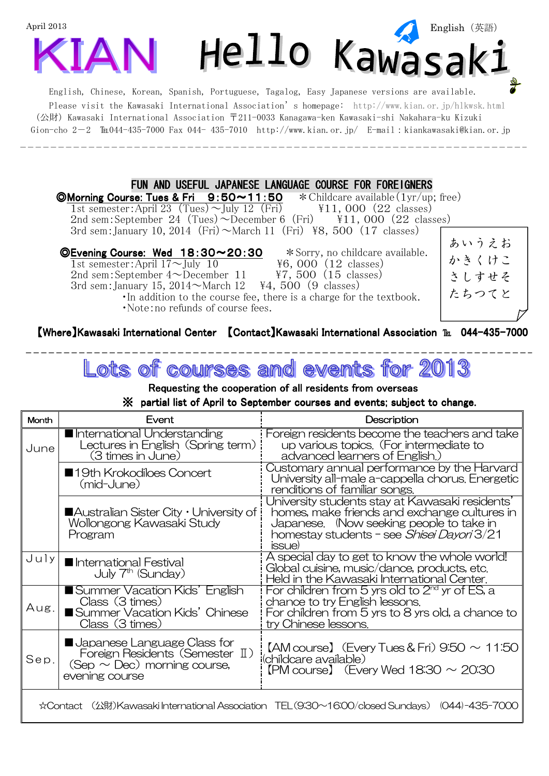

Gion-cho 2-2  $\text{Im}044-435-7000$  Fax 044- 435-7010 http://www.kian.or.jp/ E-mail:kiankawasaki@kian.or.jp

## FUN AND USEFUL JAPANESE LANGUAGE COURSE FOR FOREIGNERS

**<u>OMorning Course: Tues & Fri 9:50~11:50** \* Childcare available(1yr/up</u>; free)<br>1st semester: April 23 (Tues) ~ July 12 (Fri)  $\text{Y11, 000}$  (22 classes) 1st semester:April 23 (Tues)  $\sim$  July 12 (Fri) 2nd sem: September 24 (Tues)  $\sim$  December 6 (Fri)  $\frac{1}{11}$ , 000 (22 classes) 3rd sem: January 10, 2014 (Fri)  $\sim$ March 11 (Fri) \frac{8}8, 500 (17 classes)

©Evening Course: Wed  $18:30 \sim 20:30$   $*$  Sorry, no childcare available.

1st semester:April  $17 \sim$ July 10  $\qquad$   $\qquad$  46, 000 (12 classes) 2nd sem: September  $4 \sim$ December 11  $\overline{Y}$ , 500 (15 classes) 3rd sem: January 15,  $2014 \sim$ March 12 \{44, 500 (9 classes) ・In addition to the course fee, there is a charge for the textbook. ・Note:no refunds of course fees.

あいうえお かきくけこ さしすせそ たちつてと

## [Where] Kawasaki International Center [Contact] Kawasaki International Association Tu 044-435-7000

ots of events **COUTSES and** 

Requesting the cooperation of all residents from overseas

## ※ ※ partial list of April to September partial list of April to September list of September courses and even courses and events; subject to change. courses events; subject to change. ts; subject to change.

| <b>Month</b>                                                                                  | Fvent                                                                                                                         | Description                                                                                                                                                                                                |  |  |  |  |  |
|-----------------------------------------------------------------------------------------------|-------------------------------------------------------------------------------------------------------------------------------|------------------------------------------------------------------------------------------------------------------------------------------------------------------------------------------------------------|--|--|--|--|--|
| June                                                                                          | International Understanding<br>Lectures in English (Spring term)<br>(3 times in June)                                         | Foreign residents become the teachers and take<br>up various topics. (For intermediate to<br>advanced learners of English.)                                                                                |  |  |  |  |  |
|                                                                                               | ■19th Krokodiloes Concert<br>(mid-June)                                                                                       | Customary annual performance by the Harvard<br>University all-male a-cappella chorus. Energetic<br>renditions of familiar songs.                                                                           |  |  |  |  |  |
|                                                                                               | $\blacksquare$ Australian Sister City $\cdot$ University of i<br>Wollongong Kawasaki Study<br>Program                         | University students stay at Kawasaki residents'<br>homes, make friends and exchange cultures in<br>Japanese. (Now seeking people to take in<br>homestay students – see <i>Shisei Dayori</i> 3/21<br>issue) |  |  |  |  |  |
| Julyl                                                                                         | International Festival<br>July 7 <sup>th</sup> (Sunday)                                                                       | A special day to get to know the whole world!<br>Global cuisine, music/dance, products, etc.<br>Held in the Kawasaki International Center.                                                                 |  |  |  |  |  |
| Aug.                                                                                          | Summer Vacation Kids' English<br>Class (3 times)<br>Summer Vacation Kids' Chinese<br>Class (3 times)                          | For children from 5 yrs old to $2nd$ yr of ES, a<br>chance to try English lessons.<br>For children from 5 yrs to 8 yrs old, a chance to<br>try Chinese lessons.                                            |  |  |  |  |  |
| Sep.                                                                                          | <b>U</b> Japanese Language Class for<br>Foreign Residents (Semester II)<br>$(Sep \sim Dec)$ morning course,<br>evening course | $[AM \text{course}]$ (Every Tues & Fri) 9:50 $\sim$ 11:50<br>(childcare available)<br>$[PM \text{ course}]$ (Every Wed 18:30 $\sim$ 20:30                                                                  |  |  |  |  |  |
| ☆Contact (公財)Kawasaki International Association TEL(9:30~16:00/closed Sundays) (044)-435-7000 |                                                                                                                               |                                                                                                                                                                                                            |  |  |  |  |  |